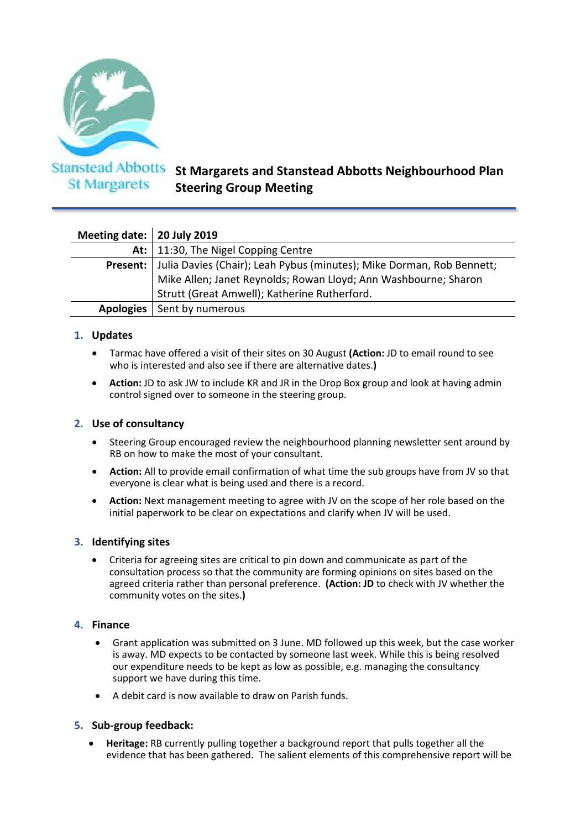

**St Margarets** 

# **St Margarets and Stanstead Abbotts Neighbourhood Plan Steering Group Meeting**

| Meeting date:   20 July 2019 |                                                                       |
|------------------------------|-----------------------------------------------------------------------|
|                              | At:   11:30, The Nigel Copping Centre                                 |
| Present:                     | Julia Davies (Chair); Leah Pybus (minutes); Mike Dorman, Rob Bennett; |
|                              | Mike Allen; Janet Reynolds; Rowan Lloyd; Ann Washbourne; Sharon       |
|                              | Strutt (Great Amwell); Katherine Rutherford.                          |
| Apologies                    | Sent by numerous                                                      |

## **1. Updates**

- Tarmac have offered a visit of their sites on 30 August **(Action:** JD to email round to see who is interested and also see if there are alternative dates.**)**
- **Action:** JD to ask JW to include KR and JR in the Drop Box group and look at having admin control signed over to someone in the steering group.

## **2. Use of consultancy**

- Steering Group encouraged review the neighbourhood planning newsletter sent around by RB on how to make the most of your consultant.
- **Action:** All to provide email confirmation of what time the sub groups have from JV so that everyone is clear what is being used and there is a record.
- **Action:** Next management meeting to agree with JV on the scope of her role based on the initial paperwork to be clear on expectations and clarify when JV will be used.

## **3. Identifying sites**

• Criteria for agreeing sites are critical to pin down and communicate as part of the consultation process so that the community are forming opinions on sites based on the agreed criteria rather than personal preference. **(Action: JD** to check with JV whether the community votes on the sites.**)**

## **4. Finance**

- Grant application was submitted on 3 June. MD followed up this week, but the case worker is away. MD expects to be contacted by someone last week. While this is being resolved our expenditure needs to be kept as low as possible, e.g. managing the consultancy support we have during this time.
- A debit card is now available to draw on Parish funds.

## **5. Sub-group feedback:**

• **Heritage:** RB currently pulling together a background report that pulls together all the evidence that has been gathered. The salient elements of this comprehensive report will be